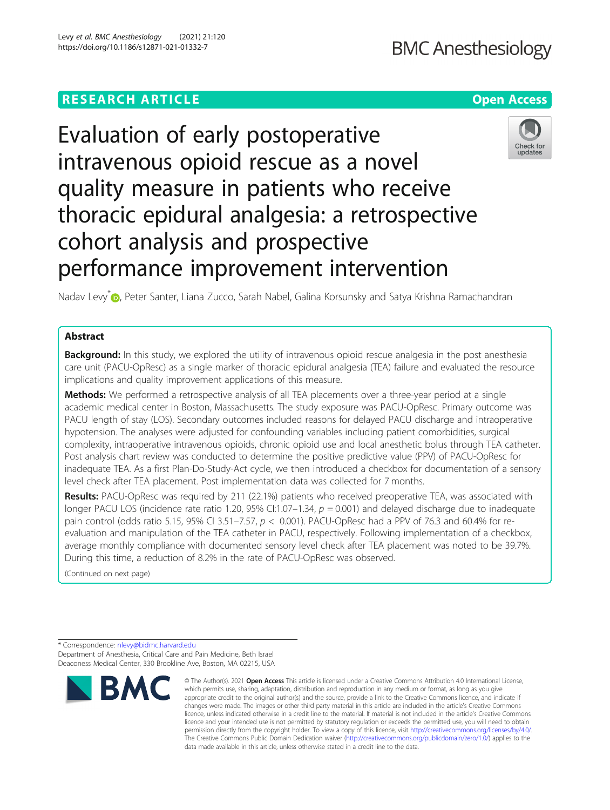# **RESEARCH ARTICLE Example 2014 12:30 The Contract of Contract ACCESS**





Nadav Levy<sup>[\\*](http://orcid.org/0000-0002-8236-4881)</sup> (D. Peter Santer, Liana Zucco, Sarah Nabel, Galina Korsunsky and Satya Krishna Ramachandran

# Abstract

**Background:** In this study, we explored the utility of intravenous opioid rescue analgesia in the post anesthesia care unit (PACU-OpResc) as a single marker of thoracic epidural analgesia (TEA) failure and evaluated the resource implications and quality improvement applications of this measure.

Methods: We performed a retrospective analysis of all TEA placements over a three-year period at a single academic medical center in Boston, Massachusetts. The study exposure was PACU-OpResc. Primary outcome was PACU length of stay (LOS). Secondary outcomes included reasons for delayed PACU discharge and intraoperative hypotension. The analyses were adjusted for confounding variables including patient comorbidities, surgical complexity, intraoperative intravenous opioids, chronic opioid use and local anesthetic bolus through TEA catheter. Post analysis chart review was conducted to determine the positive predictive value (PPV) of PACU-OpResc for inadequate TEA. As a first Plan-Do-Study-Act cycle, we then introduced a checkbox for documentation of a sensory level check after TEA placement. Post implementation data was collected for 7 months.

Results: PACU-OpResc was required by 211 (22.1%) patients who received preoperative TEA, was associated with longer PACU LOS (incidence rate ratio 1.20, 95% CI:1.07-1.34,  $p = 0.001$ ) and delayed discharge due to inadequate pain control (odds ratio 5.15, 95% CI 3.51–7.57,  $p < 0.001$ ). PACU-OpResc had a PPV of 76.3 and 60.4% for reevaluation and manipulation of the TEA catheter in PACU, respectively. Following implementation of a checkbox, average monthly compliance with documented sensory level check after TEA placement was noted to be 39.7%. During this time, a reduction of 8.2% in the rate of PACU-OpResc was observed.

(Continued on next page)

\* Correspondence: [nlevy@bidmc.harvard.edu](mailto:nlevy@bidmc.harvard.edu) Department of Anesthesia, Critical Care and Pain Medicine, Beth Israel Deaconess Medical Center, 330 Brookline Ave, Boston, MA 02215, USA



<sup>©</sup> The Author(s), 2021 **Open Access** This article is licensed under a Creative Commons Attribution 4.0 International License, which permits use, sharing, adaptation, distribution and reproduction in any medium or format, as long as you give appropriate credit to the original author(s) and the source, provide a link to the Creative Commons licence, and indicate if changes were made. The images or other third party material in this article are included in the article's Creative Commons licence, unless indicated otherwise in a credit line to the material. If material is not included in the article's Creative Commons licence and your intended use is not permitted by statutory regulation or exceeds the permitted use, you will need to obtain permission directly from the copyright holder. To view a copy of this licence, visit [http://creativecommons.org/licenses/by/4.0/.](http://creativecommons.org/licenses/by/4.0/) The Creative Commons Public Domain Dedication waiver [\(http://creativecommons.org/publicdomain/zero/1.0/](http://creativecommons.org/publicdomain/zero/1.0/)) applies to the data made available in this article, unless otherwise stated in a credit line to the data.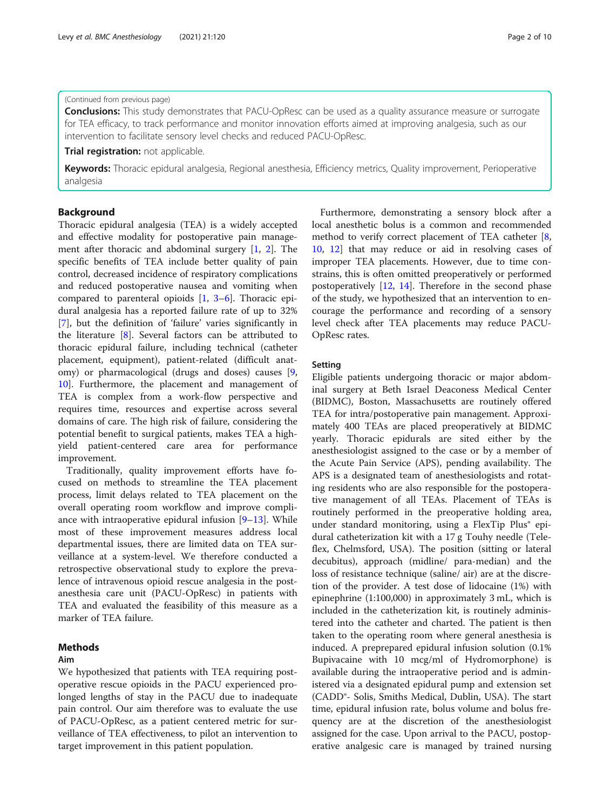#### (Continued from previous page)

**Conclusions:** This study demonstrates that PACU-OpResc can be used as a quality assurance measure or surrogate for TEA efficacy, to track performance and monitor innovation efforts aimed at improving analgesia, such as our intervention to facilitate sensory level checks and reduced PACU-OpResc.

# Trial registration: not applicable.

Keywords: Thoracic epidural analgesia, Regional anesthesia, Efficiency metrics, Quality improvement, Perioperative analgesia

### Background

Thoracic epidural analgesia (TEA) is a widely accepted and effective modality for postoperative pain management after thoracic and abdominal surgery [[1,](#page-8-0) [2](#page-8-0)]. The specific benefits of TEA include better quality of pain control, decreased incidence of respiratory complications and reduced postoperative nausea and vomiting when compared to parenteral opioids [\[1](#page-8-0), [3](#page-8-0)–[6](#page-8-0)]. Thoracic epidural analgesia has a reported failure rate of up to 32% [[7\]](#page-8-0), but the definition of 'failure' varies significantly in the literature [\[8](#page-8-0)]. Several factors can be attributed to thoracic epidural failure, including technical (catheter placement, equipment), patient-related (difficult anatomy) or pharmacological (drugs and doses) causes [\[9](#page-8-0), [10\]](#page-8-0). Furthermore, the placement and management of TEA is complex from a work-flow perspective and requires time, resources and expertise across several domains of care. The high risk of failure, considering the potential benefit to surgical patients, makes TEA a highyield patient-centered care area for performance improvement.

Traditionally, quality improvement efforts have focused on methods to streamline the TEA placement process, limit delays related to TEA placement on the overall operating room workflow and improve compliance with intraoperative epidural infusion  $[9-13]$  $[9-13]$  $[9-13]$  $[9-13]$ . While most of these improvement measures address local departmental issues, there are limited data on TEA surveillance at a system-level. We therefore conducted a retrospective observational study to explore the prevalence of intravenous opioid rescue analgesia in the postanesthesia care unit (PACU-OpResc) in patients with TEA and evaluated the feasibility of this measure as a marker of TEA failure.

### Methods

# Aim

We hypothesized that patients with TEA requiring postoperative rescue opioids in the PACU experienced prolonged lengths of stay in the PACU due to inadequate pain control. Our aim therefore was to evaluate the use of PACU-OpResc, as a patient centered metric for surveillance of TEA effectiveness, to pilot an intervention to target improvement in this patient population.

Furthermore, demonstrating a sensory block after a local anesthetic bolus is a common and recommended method to verify correct placement of TEA catheter [\[8](#page-8-0), [10,](#page-8-0) [12\]](#page-9-0) that may reduce or aid in resolving cases of improper TEA placements. However, due to time constrains, this is often omitted preoperatively or performed postoperatively [[12,](#page-9-0) [14\]](#page-9-0). Therefore in the second phase of the study, we hypothesized that an intervention to encourage the performance and recording of a sensory level check after TEA placements may reduce PACU-OpResc rates.

# Setting

Eligible patients undergoing thoracic or major abdominal surgery at Beth Israel Deaconess Medical Center (BIDMC), Boston, Massachusetts are routinely offered TEA for intra/postoperative pain management. Approximately 400 TEAs are placed preoperatively at BIDMC yearly. Thoracic epidurals are sited either by the anesthesiologist assigned to the case or by a member of the Acute Pain Service (APS), pending availability. The APS is a designated team of anesthesiologists and rotating residents who are also responsible for the postoperative management of all TEAs. Placement of TEAs is routinely performed in the preoperative holding area, under standard monitoring, using a FlexTip Plus® epidural catheterization kit with a 17 g Touhy needle (Teleflex, Chelmsford, USA). The position (sitting or lateral decubitus), approach (midline/ para-median) and the loss of resistance technique (saline/ air) are at the discretion of the provider. A test dose of lidocaine (1%) with epinephrine (1:100,000) in approximately 3 mL, which is included in the catheterization kit, is routinely administered into the catheter and charted. The patient is then taken to the operating room where general anesthesia is induced. A preprepared epidural infusion solution (0.1% Bupivacaine with 10 mcg/ml of Hydromorphone) is available during the intraoperative period and is administered via a designated epidural pump and extension set (CADD®- Solis, Smiths Medical, Dublin, USA). The start time, epidural infusion rate, bolus volume and bolus frequency are at the discretion of the anesthesiologist assigned for the case. Upon arrival to the PACU, postoperative analgesic care is managed by trained nursing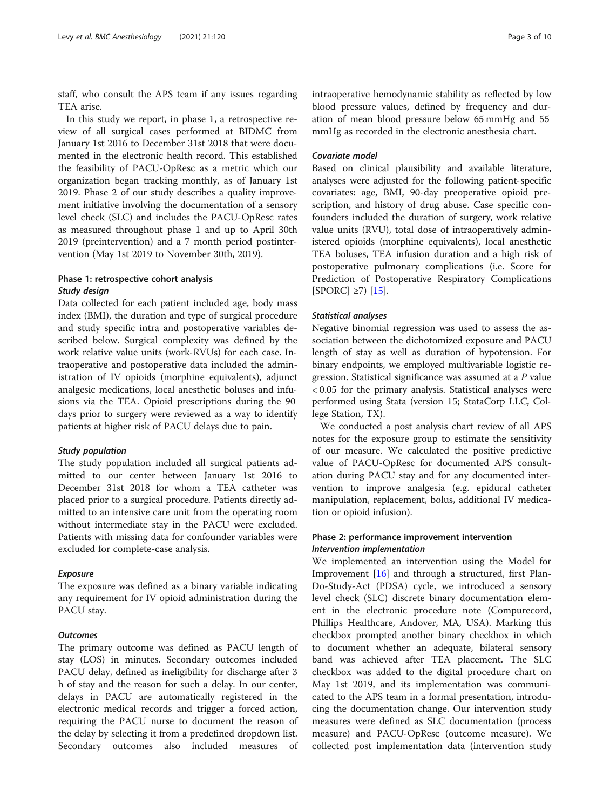staff, who consult the APS team if any issues regarding TEA arise.

In this study we report, in phase 1, a retrospective review of all surgical cases performed at BIDMC from January 1st 2016 to December 31st 2018 that were documented in the electronic health record. This established the feasibility of PACU-OpResc as a metric which our organization began tracking monthly, as of January 1st 2019. Phase 2 of our study describes a quality improvement initiative involving the documentation of a sensory level check (SLC) and includes the PACU-OpResc rates as measured throughout phase 1 and up to April 30th 2019 (preintervention) and a 7 month period postintervention (May 1st 2019 to November 30th, 2019).

# Phase 1: retrospective cohort analysis Study design

Data collected for each patient included age, body mass index (BMI), the duration and type of surgical procedure and study specific intra and postoperative variables described below. Surgical complexity was defined by the work relative value units (work-RVUs) for each case. Intraoperative and postoperative data included the administration of IV opioids (morphine equivalents), adjunct analgesic medications, local anesthetic boluses and infusions via the TEA. Opioid prescriptions during the 90 days prior to surgery were reviewed as a way to identify patients at higher risk of PACU delays due to pain.

#### Study population

The study population included all surgical patients admitted to our center between January 1st 2016 to December 31st 2018 for whom a TEA catheter was placed prior to a surgical procedure. Patients directly admitted to an intensive care unit from the operating room without intermediate stay in the PACU were excluded. Patients with missing data for confounder variables were excluded for complete-case analysis.

#### Exposure

The exposure was defined as a binary variable indicating any requirement for IV opioid administration during the PACU stay.

# **Outcomes**

The primary outcome was defined as PACU length of stay (LOS) in minutes. Secondary outcomes included PACU delay, defined as ineligibility for discharge after 3 h of stay and the reason for such a delay. In our center, delays in PACU are automatically registered in the electronic medical records and trigger a forced action, requiring the PACU nurse to document the reason of the delay by selecting it from a predefined dropdown list. Secondary outcomes also included measures of

intraoperative hemodynamic stability as reflected by low blood pressure values, defined by frequency and duration of mean blood pressure below 65 mmHg and 55 mmHg as recorded in the electronic anesthesia chart.

#### Covariate model

Based on clinical plausibility and available literature, analyses were adjusted for the following patient-specific covariates: age, BMI, 90-day preoperative opioid prescription, and history of drug abuse. Case specific confounders included the duration of surgery, work relative value units (RVU), total dose of intraoperatively administered opioids (morphine equivalents), local anesthetic TEA boluses, TEA infusion duration and a high risk of postoperative pulmonary complications (i.e. Score for Prediction of Postoperative Respiratory Complications  $[SPORC] \geq 7$  [\[15](#page-9-0)].

#### Statistical analyses

Negative binomial regression was used to assess the association between the dichotomized exposure and PACU length of stay as well as duration of hypotension. For binary endpoints, we employed multivariable logistic regression. Statistical significance was assumed at a P value < 0.05 for the primary analysis. Statistical analyses were performed using Stata (version 15; StataCorp LLC, College Station, TX).

We conducted a post analysis chart review of all APS notes for the exposure group to estimate the sensitivity of our measure. We calculated the positive predictive value of PACU-OpResc for documented APS consultation during PACU stay and for any documented intervention to improve analgesia (e.g. epidural catheter manipulation, replacement, bolus, additional IV medication or opioid infusion).

# Phase 2: performance improvement intervention Intervention implementation

We implemented an intervention using the Model for Improvement [\[16](#page-9-0)] and through a structured, first Plan-Do-Study-Act (PDSA) cycle, we introduced a sensory level check (SLC) discrete binary documentation element in the electronic procedure note (Compurecord, Phillips Healthcare, Andover, MA, USA). Marking this checkbox prompted another binary checkbox in which to document whether an adequate, bilateral sensory band was achieved after TEA placement. The SLC checkbox was added to the digital procedure chart on May 1st 2019, and its implementation was communicated to the APS team in a formal presentation, introducing the documentation change. Our intervention study measures were defined as SLC documentation (process measure) and PACU-OpResc (outcome measure). We collected post implementation data (intervention study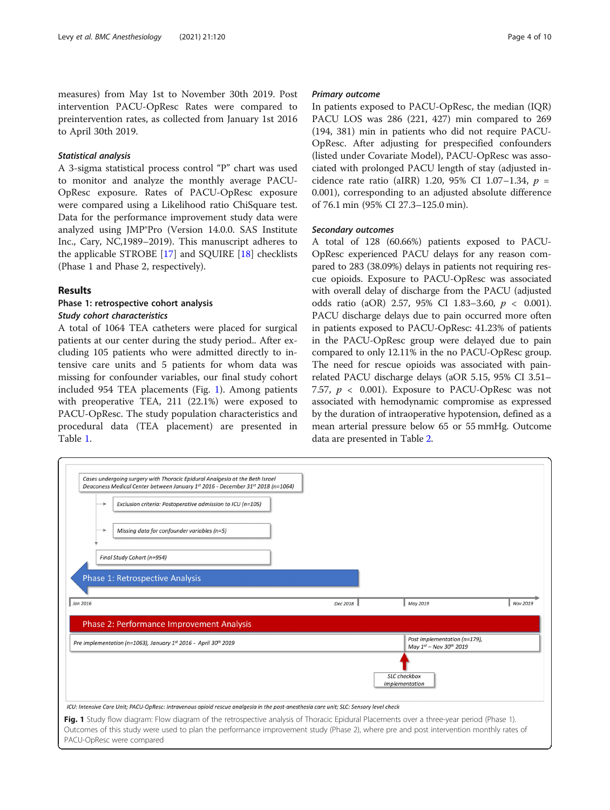measures) from May 1st to November 30th 2019. Post intervention PACU-OpResc Rates were compared to preintervention rates, as collected from January 1st 2016 to April 30th 2019.

#### Statistical analysis

A 3-sigma statistical process control "P" chart was used to monitor and analyze the monthly average PACU-OpResc exposure. Rates of PACU-OpResc exposure were compared using a Likelihood ratio ChiSquare test. Data for the performance improvement study data were analyzed using JMP®Pro (Version 14.0.0. SAS Institute Inc., Cary, NC,1989–2019). This manuscript adheres to the applicable STROBE [[17\]](#page-9-0) and SQUIRE [\[18\]](#page-9-0) checklists (Phase 1 and Phase 2, respectively).

# Results

# Phase 1: retrospective cohort analysis Study cohort characteristics

A total of 1064 TEA catheters were placed for surgical patients at our center during the study period.. After excluding 105 patients who were admitted directly to intensive care units and 5 patients for whom data was missing for confounder variables, our final study cohort included 954 TEA placements (Fig. 1). Among patients with preoperative TEA, 211 (22.1%) were exposed to PACU-OpResc. The study population characteristics and procedural data (TEA placement) are presented in Table [1.](#page-4-0)

#### Primary outcome

In patients exposed to PACU-OpResc, the median (IQR) PACU LOS was 286 (221, 427) min compared to 269 (194, 381) min in patients who did not require PACU-OpResc. After adjusting for prespecified confounders (listed under Covariate Model), PACU-OpResc was associated with prolonged PACU length of stay (adjusted incidence rate ratio (aIRR) 1.20, 95% CI 1.07-1.34,  $p =$ 0.001), corresponding to an adjusted absolute difference of 76.1 min (95% CI 27.3–125.0 min).

# Secondary outcomes

A total of 128 (60.66%) patients exposed to PACU-OpResc experienced PACU delays for any reason compared to 283 (38.09%) delays in patients not requiring rescue opioids. Exposure to PACU-OpResc was associated with overall delay of discharge from the PACU (adjusted odds ratio (aOR) 2.57, 95% CI 1.83-3.60,  $p < 0.001$ ). PACU discharge delays due to pain occurred more often in patients exposed to PACU-OpResc: 41.23% of patients in the PACU-OpResc group were delayed due to pain compared to only 12.11% in the no PACU-OpResc group. The need for rescue opioids was associated with painrelated PACU discharge delays (aOR 5.15, 95% CI 3.51– 7.57,  $p < 0.001$ ). Exposure to PACU-OpResc was not associated with hemodynamic compromise as expressed by the duration of intraoperative hypotension, defined as a mean arterial pressure below 65 or 55 mmHg. Outcome data are presented in Table [2](#page-5-0).



Fig. 1 Study flow diagram: Flow diagram of the retrospective analysis of Thoracic Epidural Placements over a three-year period (Phase 1). Outcomes of this study were used to plan the performance improvement study (Phase 2), where pre and post intervention monthly rates of PACU-OpResc were compared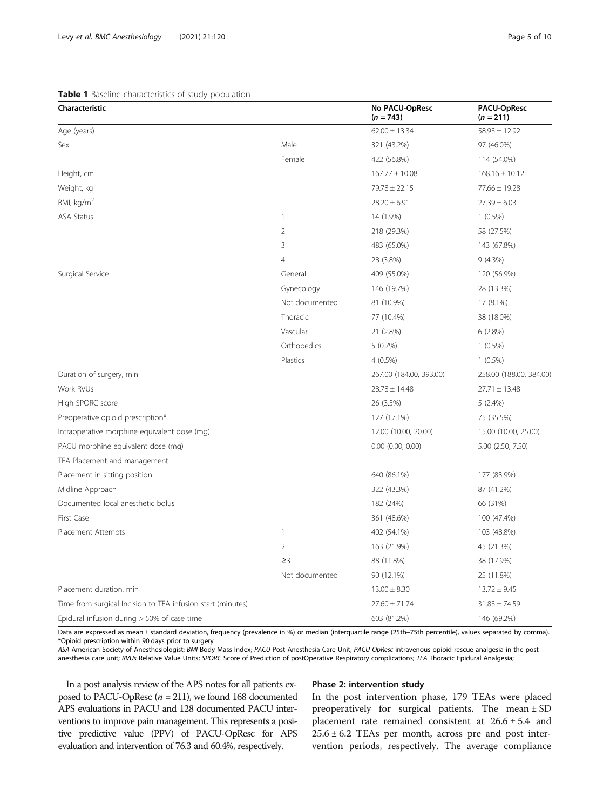### <span id="page-4-0"></span>Table 1 Baseline characteristics of study population

| Characteristic                                              |                | No PACU-OpResc<br>$(n = 743)$ | PACU-OpResc<br>$(n = 211)$ |  |
|-------------------------------------------------------------|----------------|-------------------------------|----------------------------|--|
| Age (years)                                                 |                | $62.00 \pm 13.34$             | $58.93 \pm 12.92$          |  |
| Sex                                                         | Male           | 321 (43.2%)                   | 97 (46.0%)                 |  |
|                                                             | Female         | 422 (56.8%)                   | 114 (54.0%)                |  |
| Height, cm                                                  |                | $167.77 \pm 10.08$            | $168.16 \pm 10.12$         |  |
| Weight, kg                                                  |                | $79.78 \pm 22.15$             | 77.66 ± 19.28              |  |
| BMI, $kg/m2$                                                |                | $28.20 \pm 6.91$              | $27.39 \pm 6.03$           |  |
| <b>ASA Status</b>                                           | $\mathbf{1}$   | 14 (1.9%)                     | $1(0.5\%)$                 |  |
|                                                             | $\overline{2}$ | 218 (29.3%)                   | 58 (27.5%)                 |  |
|                                                             | 3              | 483 (65.0%)                   | 143 (67.8%)                |  |
|                                                             | $\overline{4}$ | 28 (3.8%)                     | 9(4.3%)                    |  |
| Surgical Service                                            | General        | 409 (55.0%)                   | 120 (56.9%)                |  |
|                                                             | Gynecology     | 146 (19.7%)                   | 28 (13.3%)                 |  |
|                                                             | Not documented | 81 (10.9%)                    | 17 (8.1%)                  |  |
|                                                             | Thoracic       | 77 (10.4%)                    | 38 (18.0%)                 |  |
|                                                             | Vascular       | 21 (2.8%)                     | 6(2.8%)                    |  |
|                                                             | Orthopedics    | 5(0.7%)                       | $1(0.5\%)$                 |  |
|                                                             | Plastics       | $4(0.5\%)$                    | $1(0.5\%)$                 |  |
| Duration of surgery, min                                    |                | 267.00 (184.00, 393.00)       | 258.00 (188.00, 384.00)    |  |
| Work RVUs                                                   |                | $28.78 \pm 14.48$             | $27.71 \pm 13.48$          |  |
| High SPORC score                                            |                | 26 (3.5%)                     | $5(2.4\%)$                 |  |
| Preoperative opioid prescription*                           |                | 127 (17.1%)                   | 75 (35.5%)                 |  |
| Intraoperative morphine equivalent dose (mg)                |                | 12.00 (10.00, 20.00)          | 15.00 (10.00, 25.00)       |  |
| PACU morphine equivalent dose (mg)                          |                | $0.00$ $(0.00, 0.00)$         | 5.00 (2.50, 7.50)          |  |
| TEA Placement and management                                |                |                               |                            |  |
| Placement in sitting position                               |                | 640 (86.1%)                   | 177 (83.9%)                |  |
| Midline Approach                                            |                | 322 (43.3%)                   | 87 (41.2%)                 |  |
| Documented local anesthetic bolus                           |                | 182 (24%)                     | 66 (31%)                   |  |
| First Case                                                  |                | 361 (48.6%)                   | 100 (47.4%)                |  |
| Placement Attempts                                          | $\mathbf{1}$   | 402 (54.1%)                   | 103 (48.8%)                |  |
|                                                             | $\overline{2}$ | 163 (21.9%)                   | 45 (21.3%)                 |  |
|                                                             | $\geq$ 3       | 88 (11.8%)                    | 38 (17.9%)                 |  |
|                                                             | Not documented | 90 (12.1%)                    | 25 (11.8%)                 |  |
| Placement duration, min                                     |                | $13.00 \pm 8.30$              | $13.72 \pm 9.45$           |  |
| Time from surgical Incision to TEA infusion start (minutes) |                | $27.60 \pm 71.74$             | $31.83 \pm 74.59$          |  |
| Epidural infusion during $>$ 50% of case time               |                | 603 (81.2%)                   | 146 (69.2%)                |  |

Data are expressed as mean ± standard deviation, frequency (prevalence in %) or median (interquartile range (25th–75th percentile), values separated by comma). \*Opioid prescription within 90 days prior to surgery

ASA American Society of Anesthesiologist; BMI Body Mass Index; PACU Post Anesthesia Care Unit; PACU-OpResc intravenous opioid rescue analgesia in the post anesthesia care unit; RVUs Relative Value Units; SPORC Score of Prediction of postOperative Respiratory complications; TEA Thoracic Epidural Analgesia;

In a post analysis review of the APS notes for all patients exposed to PACU-OpResc ( $n = 211$ ), we found 168 documented APS evaluations in PACU and 128 documented PACU interventions to improve pain management. This represents a positive predictive value (PPV) of PACU-OpResc for APS evaluation and intervention of 76.3 and 60.4%, respectively.

## Phase 2: intervention study

In the post intervention phase, 179 TEAs were placed preoperatively for surgical patients. The mean  $\pm$  SD placement rate remained consistent at 26.6 ± 5.4 and  $25.6 \pm 6.2$  TEAs per month, across pre and post intervention periods, respectively. The average compliance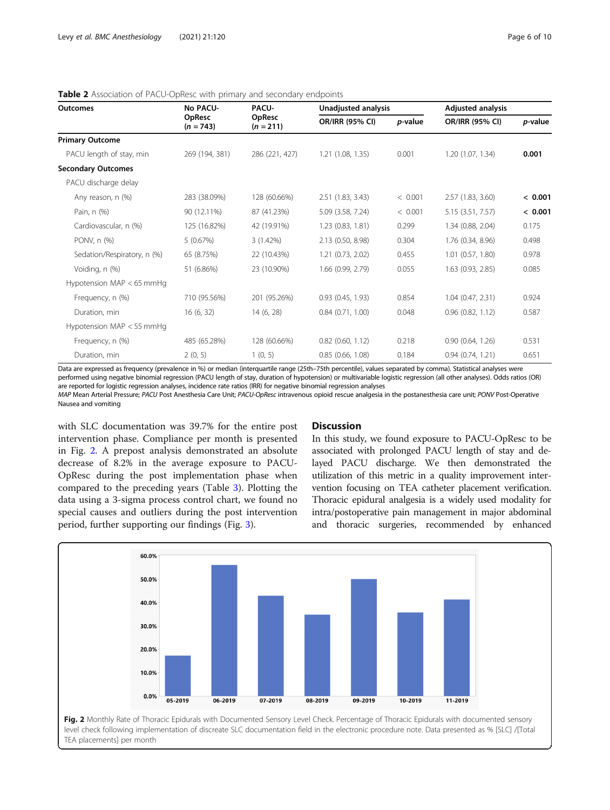| <b>Outcomes</b>             | <b>No PACU-</b><br><b>OpResc</b><br>$(n = 743)$ | PACU-                 |                       | Unadjusted analysis |                       | <b>Adjusted analysis</b> |  |
|-----------------------------|-------------------------------------------------|-----------------------|-----------------------|---------------------|-----------------------|--------------------------|--|
|                             |                                                 | OpResc<br>$(n = 211)$ | OR/IRR (95% CI)       | p-value             | OR/IRR (95% CI)       | p-value                  |  |
| <b>Primary Outcome</b>      |                                                 |                       |                       |                     |                       |                          |  |
| PACU length of stay, min    | 269 (194, 381)                                  | 286 (221, 427)        | 1.21 (1.08, 1.35)     | 0.001               | 1.20 (1.07, 1.34)     | 0.001                    |  |
| <b>Secondary Outcomes</b>   |                                                 |                       |                       |                     |                       |                          |  |
| PACU discharge delay        |                                                 |                       |                       |                     |                       |                          |  |
| Any reason, n (%)           | 283 (38.09%)                                    | 128 (60.66%)          | 2.51 (1.83, 3.43)     | < 0.001             | 2.57(1.83, 3.60)      | < 0.001                  |  |
| Pain, n (%)                 | 90 (12.11%)                                     | 87 (41.23%)           | 5.09 (3.58, 7.24)     | < 0.001             | 5.15 (3.51, 7.57)     | < 0.001                  |  |
| Cardiovascular, n (%)       | 125 (16.82%)                                    | 42 (19.91%)           | 1.23 (0.83, 1.81)     | 0.299               | 1.34 (0.88, 2.04)     | 0.175                    |  |
| PONV, n (%)                 | 5(0.67%)                                        | 3(1.42%)              | 2.13 (0.50, 8.98)     | 0.304               | 1.76 (0.34, 8.96)     | 0.498                    |  |
| Sedation/Respiratory, n (%) | 65 (8.75%)                                      | 22 (10.43%)           | 1.21 (0.73, 2.02)     | 0.455               | $1.01$ $(0.57, 1.80)$ | 0.978                    |  |
| Voiding, n (%)              | 51 (6.86%)                                      | 23 (10.90%)           | 1.66 (0.99, 2.79)     | 0.055               | 1.63 (0.93, 2.85)     | 0.085                    |  |
| Hypotension MAP $<$ 65 mmHg |                                                 |                       |                       |                     |                       |                          |  |
| Frequency, n (%)            | 710 (95.56%)                                    | 201 (95.26%)          | $0.93$ $(0.45, 1.93)$ | 0.854               | 1.04(0.47, 2.31)      | 0.924                    |  |
| Duration, min               | 16 (6, 32)                                      | 14(6, 28)             | 0.84(0.71, 1.00)      | 0.048               | $0.96$ $(0.82, 1.12)$ | 0.587                    |  |
| Hypotension MAP < 55 mmHg   |                                                 |                       |                       |                     |                       |                          |  |
| Frequency, n (%)            | 485 (65.28%)                                    | 128 (60.66%)          | $0.82$ $(0.60, 1.12)$ | 0.218               | 0.90(0.64, 1.26)      | 0.531                    |  |
| Duration, min               | 2(0, 5)                                         | 1(0, 5)               | 0.85 (0.66, 1.08)     | 0.184               | 0.94(0.74, 1.21)      | 0.651                    |  |

### <span id="page-5-0"></span>Table 2 Association of PACU-OpResc with primary and secondary endpoints

Data are expressed as frequency (prevalence in %) or median (interquartile range (25th–75th percentile), values separated by comma). Statistical analyses were performed using negative binomial regression (PACU length of stay, duration of hypotension) or multivariable logistic regression (all other analyses). Odds ratios (OR) are reported for logistic regression analyses, incidence rate ratios (IRR) for negative binomial regression analyses

MAP Mean Arterial Pressure; PACU Post Anesthesia Care Unit; PACU-OpResc intravenous opioid rescue analgesia in the postanesthesia care unit; PONV Post-Operative Nausea and vomiting

with SLC documentation was 39.7% for the entire post intervention phase. Compliance per month is presented in Fig. 2. A prepost analysis demonstrated an absolute decrease of 8.2% in the average exposure to PACU-OpResc during the post implementation phase when compared to the preceding years (Table [3\)](#page-6-0). Plotting the data using a 3-sigma process control chart, we found no special causes and outliers during the post intervention period, further supporting our findings (Fig. [3\)](#page-6-0).

### **Discussion**

In this study, we found exposure to PACU-OpResc to be associated with prolonged PACU length of stay and delayed PACU discharge. We then demonstrated the utilization of this metric in a quality improvement intervention focusing on TEA catheter placement verification. Thoracic epidural analgesia is a widely used modality for intra/postoperative pain management in major abdominal and thoracic surgeries, recommended by enhanced

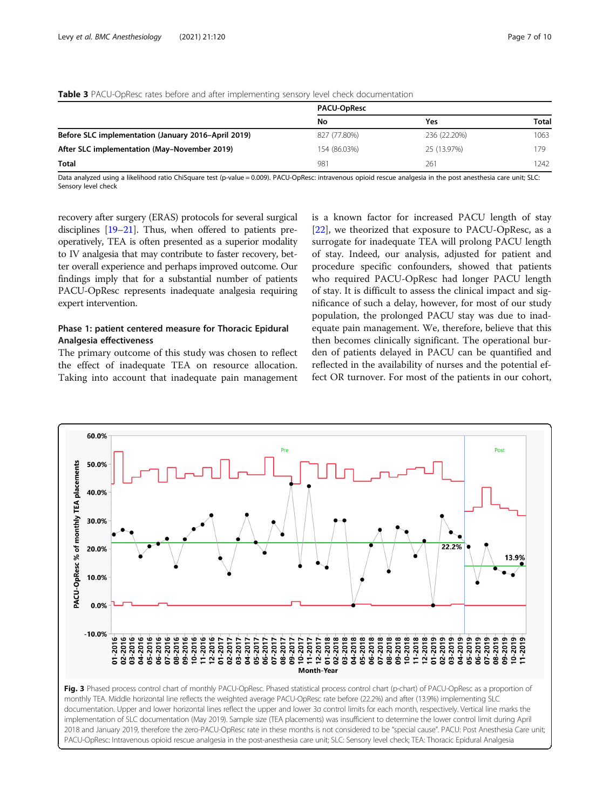|                                                     | <b>PACU-OpResc</b> |              |              |  |
|-----------------------------------------------------|--------------------|--------------|--------------|--|
|                                                     | No                 | Yes          | <b>Total</b> |  |
| Before SLC implementation (January 2016–April 2019) | 827 (77.80%)       | 236 (22.20%) | 1063         |  |
| After SLC implementation (May-November 2019)        | 154 (86.03%)       | 25 (13.97%)  | 179          |  |
| <b>Total</b>                                        | 981                | 261          | 1242         |  |

# <span id="page-6-0"></span>Table 3 PACU-OpResc rates before and after implementing sensory level check documentation

Data analyzed using a likelihood ratio ChiSquare test (p-value = 0.009). PACU-OpResc: intravenous opioid rescue analgesia in the post anesthesia care unit; SLC: Sensory level check

recovery after surgery (ERAS) protocols for several surgical disciplines [\[19](#page-9-0)–[21](#page-9-0)]. Thus, when offered to patients preoperatively, TEA is often presented as a superior modality to IV analgesia that may contribute to faster recovery, better overall experience and perhaps improved outcome. Our findings imply that for a substantial number of patients PACU-OpResc represents inadequate analgesia requiring expert intervention.

# Phase 1: patient centered measure for Thoracic Epidural Analgesia effectiveness

The primary outcome of this study was chosen to reflect the effect of inadequate TEA on resource allocation. Taking into account that inadequate pain management is a known factor for increased PACU length of stay [[22\]](#page-9-0), we theorized that exposure to PACU-OpResc, as a surrogate for inadequate TEA will prolong PACU length of stay. Indeed, our analysis, adjusted for patient and procedure specific confounders, showed that patients who required PACU-OpResc had longer PACU length of stay. It is difficult to assess the clinical impact and significance of such a delay, however, for most of our study population, the prolonged PACU stay was due to inadequate pain management. We, therefore, believe that this then becomes clinically significant. The operational burden of patients delayed in PACU can be quantified and reflected in the availability of nurses and the potential effect OR turnover. For most of the patients in our cohort,

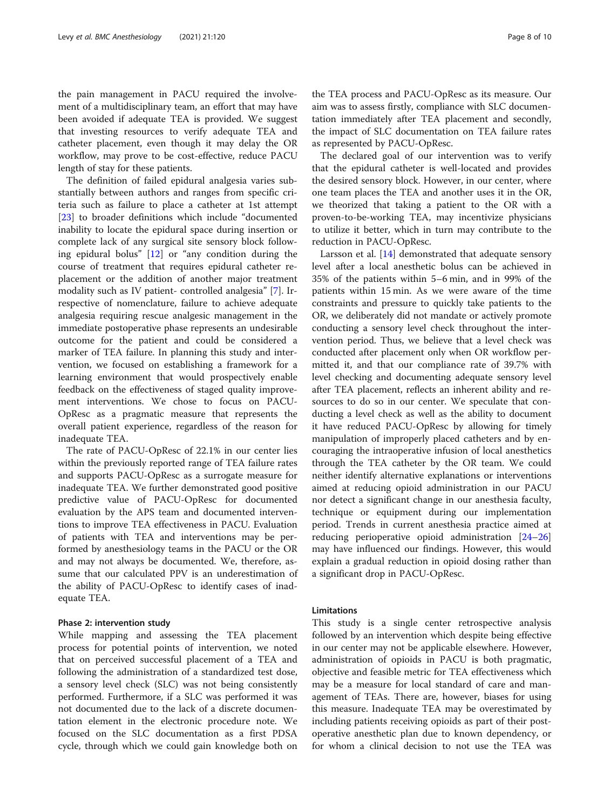the pain management in PACU required the involvement of a multidisciplinary team, an effort that may have been avoided if adequate TEA is provided. We suggest that investing resources to verify adequate TEA and catheter placement, even though it may delay the OR workflow, may prove to be cost-effective, reduce PACU length of stay for these patients.

The definition of failed epidural analgesia varies substantially between authors and ranges from specific criteria such as failure to place a catheter at 1st attempt [[23\]](#page-9-0) to broader definitions which include "documented inability to locate the epidural space during insertion or complete lack of any surgical site sensory block following epidural bolus" [[12](#page-9-0)] or "any condition during the course of treatment that requires epidural catheter replacement or the addition of another major treatment modality such as IV patient- controlled analgesia" [[7\]](#page-8-0). Irrespective of nomenclature, failure to achieve adequate analgesia requiring rescue analgesic management in the immediate postoperative phase represents an undesirable outcome for the patient and could be considered a marker of TEA failure. In planning this study and intervention, we focused on establishing a framework for a learning environment that would prospectively enable feedback on the effectiveness of staged quality improvement interventions. We chose to focus on PACU-OpResc as a pragmatic measure that represents the overall patient experience, regardless of the reason for inadequate TEA.

The rate of PACU-OpResc of 22.1% in our center lies within the previously reported range of TEA failure rates and supports PACU-OpResc as a surrogate measure for inadequate TEA. We further demonstrated good positive predictive value of PACU-OpResc for documented evaluation by the APS team and documented interventions to improve TEA effectiveness in PACU. Evaluation of patients with TEA and interventions may be performed by anesthesiology teams in the PACU or the OR and may not always be documented. We, therefore, assume that our calculated PPV is an underestimation of the ability of PACU-OpResc to identify cases of inadequate TEA.

#### Phase 2: intervention study

While mapping and assessing the TEA placement process for potential points of intervention, we noted that on perceived successful placement of a TEA and following the administration of a standardized test dose, a sensory level check (SLC) was not being consistently performed. Furthermore, if a SLC was performed it was not documented due to the lack of a discrete documentation element in the electronic procedure note. We focused on the SLC documentation as a first PDSA cycle, through which we could gain knowledge both on

the TEA process and PACU-OpResc as its measure. Our aim was to assess firstly, compliance with SLC documentation immediately after TEA placement and secondly, the impact of SLC documentation on TEA failure rates

The declared goal of our intervention was to verify that the epidural catheter is well-located and provides the desired sensory block. However, in our center, where one team places the TEA and another uses it in the OR, we theorized that taking a patient to the OR with a proven-to-be-working TEA, may incentivize physicians to utilize it better, which in turn may contribute to the reduction in PACU-OpResc.

as represented by PACU-OpResc.

Larsson et al. [[14\]](#page-9-0) demonstrated that adequate sensory level after a local anesthetic bolus can be achieved in 35% of the patients within 5–6 min, and in 99% of the patients within 15 min. As we were aware of the time constraints and pressure to quickly take patients to the OR, we deliberately did not mandate or actively promote conducting a sensory level check throughout the intervention period. Thus, we believe that a level check was conducted after placement only when OR workflow permitted it, and that our compliance rate of 39.7% with level checking and documenting adequate sensory level after TEA placement, reflects an inherent ability and resources to do so in our center. We speculate that conducting a level check as well as the ability to document it have reduced PACU-OpResc by allowing for timely manipulation of improperly placed catheters and by encouraging the intraoperative infusion of local anesthetics through the TEA catheter by the OR team. We could neither identify alternative explanations or interventions aimed at reducing opioid administration in our PACU nor detect a significant change in our anesthesia faculty, technique or equipment during our implementation period. Trends in current anesthesia practice aimed at reducing perioperative opioid administration [[24](#page-9-0)–[26](#page-9-0)] may have influenced our findings. However, this would explain a gradual reduction in opioid dosing rather than a significant drop in PACU-OpResc.

# Limitations

This study is a single center retrospective analysis followed by an intervention which despite being effective in our center may not be applicable elsewhere. However, administration of opioids in PACU is both pragmatic, objective and feasible metric for TEA effectiveness which may be a measure for local standard of care and management of TEAs. There are, however, biases for using this measure. Inadequate TEA may be overestimated by including patients receiving opioids as part of their postoperative anesthetic plan due to known dependency, or for whom a clinical decision to not use the TEA was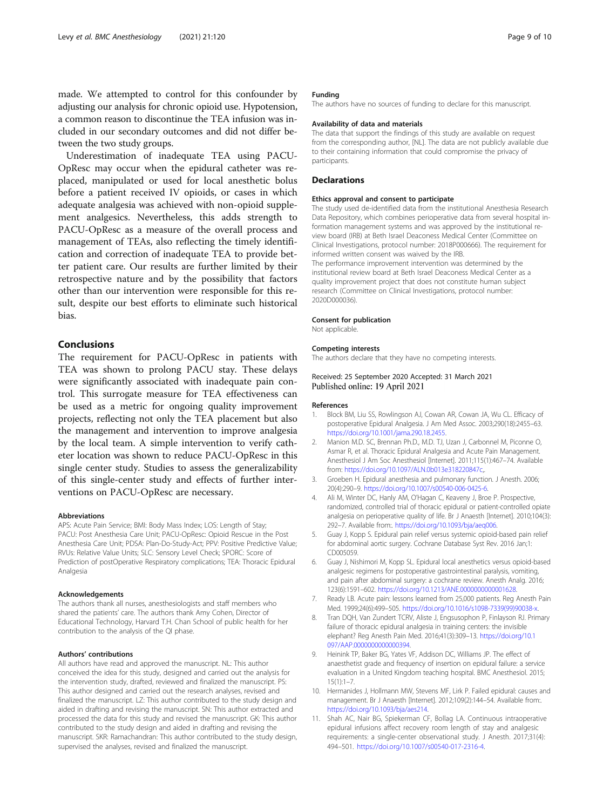<span id="page-8-0"></span>made. We attempted to control for this confounder by adjusting our analysis for chronic opioid use. Hypotension, a common reason to discontinue the TEA infusion was included in our secondary outcomes and did not differ between the two study groups.

Underestimation of inadequate TEA using PACU-OpResc may occur when the epidural catheter was replaced, manipulated or used for local anesthetic bolus before a patient received IV opioids, or cases in which adequate analgesia was achieved with non-opioid supplement analgesics. Nevertheless, this adds strength to PACU-OpResc as a measure of the overall process and management of TEAs, also reflecting the timely identification and correction of inadequate TEA to provide better patient care. Our results are further limited by their retrospective nature and by the possibility that factors other than our intervention were responsible for this result, despite our best efforts to eliminate such historical bias.

# Conclusions

The requirement for PACU-OpResc in patients with TEA was shown to prolong PACU stay. These delays were significantly associated with inadequate pain control. This surrogate measure for TEA effectiveness can be used as a metric for ongoing quality improvement projects, reflecting not only the TEA placement but also the management and intervention to improve analgesia by the local team. A simple intervention to verify catheter location was shown to reduce PACU-OpResc in this single center study. Studies to assess the generalizability of this single-center study and effects of further interventions on PACU-OpResc are necessary.

#### Abbreviations

APS: Acute Pain Service; BMI: Body Mass Index; LOS: Length of Stay; PACU: Post Anesthesia Care Unit; PACU-OpResc: Opioid Rescue in the Post Anesthesia Care Unit; PDSA: Plan-Do-Study-Act; PPV: Positive Predictive Value; RVUs: Relative Value Units; SLC: Sensory Level Check; SPORC: Score of Prediction of postOperative Respiratory complications; TEA: Thoracic Epidural Analgesia

#### Acknowledgements

The authors thank all nurses, anesthesiologists and staff members who shared the patients' care. The authors thank Amy Cohen, Director of Educational Technology, Harvard T.H. Chan School of public health for her contribution to the analysis of the QI phase.

#### Authors' contributions

All authors have read and approved the manuscript. NL: This author conceived the idea for this study, designed and carried out the analysis for the intervention study, drafted, reviewed and finalized the manuscript. PS: This author designed and carried out the research analyses, revised and finalized the manuscript. LZ: This author contributed to the study design and aided in drafting and revising the manuscript. SN: This author extracted and processed the data for this study and revised the manuscript. GK: This author contributed to the study design and aided in drafting and revising the manuscript. SKR: Ramachandran: This author contributed to the study design, supervised the analyses, revised and finalized the manuscript.

#### Funding

The authors have no sources of funding to declare for this manuscript.

#### Availability of data and materials

The data that support the findings of this study are available on request from the corresponding author, [NL]. The data are not publicly available due to their containing information that could compromise the privacy of participants.

#### Declarations

#### Ethics approval and consent to participate

The study used de-identified data from the institutional Anesthesia Research Data Repository, which combines perioperative data from several hospital information management systems and was approved by the institutional review board (IRB) at Beth Israel Deaconess Medical Center (Committee on Clinical Investigations, protocol number: 2018P000666). The requirement for informed written consent was waived by the IRB.

The performance improvement intervention was determined by the institutional review board at Beth Israel Deaconess Medical Center as a quality improvement project that does not constitute human subject research (Committee on Clinical Investigations, protocol number: 2020D000036).

#### Consent for publication

Not applicable.

#### Competing interests

The authors declare that they have no competing interests.

Received: 25 September 2020 Accepted: 31 March 2021 Published online: 19 April 2021

#### References

- 1. Block BM, Liu SS, Rowlingson AJ, Cowan AR, Cowan JA, Wu CL. Efficacy of postoperative Epidural Analgesia. J Am Med Assoc. 2003;290(18):2455–63. [https://doi.org/10.1001/jama.290.18.2455.](https://doi.org/10.1001/jama.290.18.2455)
- 2. Manion M.D. SC, Brennan Ph.D., M.D. TJ, Uzan J, Carbonnel M, Piconne O, Asmar R, et al. Thoracic Epidural Analgesia and Acute Pain Management. Anesthesiol J Am Soc Anesthesiol [Internet]. 2011;115(1):467–74. Available from: [https://doi.org/10.1097/ALN.0b013e318220847c,](https://doi.org/10.1097/ALN.0b013e318220847c).
- 3. Groeben H. Epidural anesthesia and pulmonary function. J Anesth. 2006; 20(4):290–9. [https://doi.org/10.1007/s00540-006-0425-6.](https://doi.org/10.1007/s00540-006-0425-6)
- 4. Ali M, Winter DC, Hanly AM, O'Hagan C, Keaveny J, Broe P. Prospective, randomized, controlled trial of thoracic epidural or patient-controlled opiate analgesia on perioperative quality of life. Br J Anaesth [Internet]. 2010;104(3): 292–7. Available from:. [https://doi.org/10.1093/bja/aeq006.](https://doi.org/10.1093/bja/aeq006)
- 5. Guay J, Kopp S. Epidural pain relief versus systemic opioid-based pain relief for abdominal aortic surgery. Cochrane Database Syst Rev. 2016 Jan;1: CD005059.
- 6. Guay J, Nishimori M, Kopp SL. Epidural local anesthetics versus opioid-based analgesic regimens for postoperative gastrointestinal paralysis, vomiting, and pain after abdominal surgery: a cochrane review. Anesth Analg. 2016; 123(6):1591–602. <https://doi.org/10.1213/ANE.0000000000001628>.
- 7. Ready LB. Acute pain: lessons learned from 25,000 patients. Reg Anesth Pain Med. 1999;24(6):499–505. [https://doi.org/10.1016/s1098-7339\(99\)90038-x](https://doi.org/10.1016/s1098-7339(99)90038-x).
- 8. Tran DQH, Van Zundert TCRV, Aliste J, Engsusophon P, Finlayson RJ. Primary failure of thoracic epidural analgesia in training centers: the invisible elephant? Reg Anesth Pain Med. 2016;41(3):309–13. [https://doi.org/10.1](https://doi.org/10.1097/AAP.0000000000000394) 097/AAP.00000000000000394.
- 9. Heinink TP, Baker BG, Yates VF, Addison DC, Williams JP. The effect of anaesthetist grade and frequency of insertion on epidural failure: a service evaluation in a United Kingdom teaching hospital. BMC Anesthesiol. 2015; 15(1):1–7.
- 10. Hermanides J, Hollmann MW, Stevens MF, Lirk P. Failed epidural: causes and management. Br J Anaesth [Internet]. 2012;109(2):144–54. Available from:. <https://doi.org/10.1093/bja/aes214>.
- 11. Shah AC, Nair BG, Spiekerman CF, Bollag LA. Continuous intraoperative epidural infusions affect recovery room length of stay and analgesic requirements: a single-center observational study. J Anesth. 2017;31(4): 494–501. [https://doi.org/10.1007/s00540-017-2316-4.](https://doi.org/10.1007/s00540-017-2316-4)